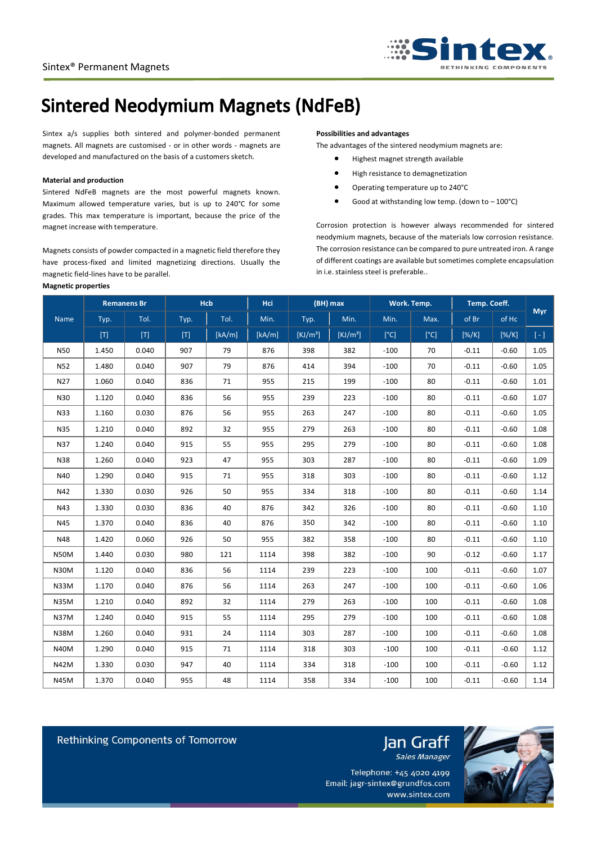

# **Sintered Neodymium Magnets (NdFeB)**

Sintex a/s supplies both sintered and polymer-bonded permanent magnets. All magnets are customised - or in other words - magnets are developed and manufactured on the basis of a customers sketch.

### **Material and production**

Sintered NdFeB magnets are the most powerful magnets known. Maximum allowed temperature varies, but is up to 240°C for some grades. This max temperature is important, because the price of the magnet increase with temperature.

Magnets consists of powder compacted in a magnetic field therefore they have process-fixed and limited magnetizing directions. Usually the magnetic field-lines have to be parallel.

#### **Magnetic properties**

# **Possibilities and advantages**

The advantages of the sintered neodymium magnets are:

- Highest magnet strength available
- High resistance to demagnetization
- Operating temperature up to 240°C
- Good at withstanding low temp. (down to  $-100^{\circ}$ C)

Corrosion protection is however always recommended for sintered neodymium magnets, because of the materials low corrosion resistance. The corrosion resistance can be compared to pure untreated iron. A range of different coatings are available but sometimes complete encapsulation in i.e. stainless steel is preferable..

|             | <b>Remanens Br</b> |       | Hcb             |        | Hci    | (BH) max             |                      | Work. Temp. |      | Temp. Coeff. |          | <b>Myr</b> |
|-------------|--------------------|-------|-----------------|--------|--------|----------------------|----------------------|-------------|------|--------------|----------|------------|
| Name        | Typ.               | Tol.  | Typ.            | Tol.   | Min.   | Typ.                 | Min.                 | Min.        | Max. | of Br        | of Hc    |            |
|             | $[T]$              | $[T]$ | $[{\mathsf T}]$ | [kA/m] | [kA/m] | [KJ/m <sup>3</sup> ] | [KJ/m <sup>3</sup> ] | [°C]        | [°C] | $[\%K]$      | $[\%/K]$ | $[ - ]$    |
| <b>N50</b>  | 1.450              | 0.040 | 907             | 79     | 876    | 398                  | 382                  | $-100$      | 70   | $-0.11$      | $-0.60$  | 1.05       |
| <b>N52</b>  | 1.480              | 0.040 | 907             | 79     | 876    | 414                  | 394                  | $-100$      | 70   | $-0.11$      | $-0.60$  | 1.05       |
| N27         | 1.060              | 0.040 | 836             | 71     | 955    | 215                  | 199                  | $-100$      | 80   | $-0.11$      | $-0.60$  | 1.01       |
| N30         | 1.120              | 0.040 | 836             | 56     | 955    | 239                  | 223                  | $-100$      | 80   | $-0.11$      | $-0.60$  | 1.07       |
| N33         | 1.160              | 0.030 | 876             | 56     | 955    | 263                  | 247                  | $-100$      | 80   | $-0.11$      | $-0.60$  | 1.05       |
| N35         | 1.210              | 0.040 | 892             | 32     | 955    | 279                  | 263                  | $-100$      | 80   | $-0.11$      | $-0.60$  | 1.08       |
| N37         | 1.240              | 0.040 | 915             | 55     | 955    | 295                  | 279                  | $-100$      | 80   | $-0.11$      | $-0.60$  | 1.08       |
| N38         | 1.260              | 0.040 | 923             | 47     | 955    | 303                  | 287                  | $-100$      | 80   | $-0.11$      | $-0.60$  | 1.09       |
| N40         | 1.290              | 0.040 | 915             | 71     | 955    | 318                  | 303                  | $-100$      | 80   | $-0.11$      | $-0.60$  | 1.12       |
| N42         | 1.330              | 0.030 | 926             | 50     | 955    | 334                  | 318                  | $-100$      | 80   | $-0.11$      | $-0.60$  | 1.14       |
| N43         | 1.330              | 0.030 | 836             | 40     | 876    | 342                  | 326                  | $-100$      | 80   | $-0.11$      | $-0.60$  | 1.10       |
| N45         | 1.370              | 0.040 | 836             | 40     | 876    | 350                  | 342                  | $-100$      | 80   | $-0.11$      | $-0.60$  | 1.10       |
| N48         | 1.420              | 0.060 | 926             | 50     | 955    | 382                  | 358                  | $-100$      | 80   | $-0.11$      | $-0.60$  | 1.10       |
| <b>N50M</b> | 1.440              | 0.030 | 980             | 121    | 1114   | 398                  | 382                  | $-100$      | 90   | $-0.12$      | $-0.60$  | 1.17       |
| <b>N30M</b> | 1.120              | 0.040 | 836             | 56     | 1114   | 239                  | 223                  | $-100$      | 100  | $-0.11$      | $-0.60$  | 1.07       |
| N33M        | 1.170              | 0.040 | 876             | 56     | 1114   | 263                  | 247                  | $-100$      | 100  | $-0.11$      | $-0.60$  | 1.06       |
| <b>N35M</b> | 1.210              | 0.040 | 892             | 32     | 1114   | 279                  | 263                  | $-100$      | 100  | $-0.11$      | $-0.60$  | 1.08       |
| <b>N37M</b> | 1.240              | 0.040 | 915             | 55     | 1114   | 295                  | 279                  | $-100$      | 100  | $-0.11$      | $-0.60$  | 1.08       |
| <b>N38M</b> | 1.260              | 0.040 | 931             | 24     | 1114   | 303                  | 287                  | $-100$      | 100  | $-0.11$      | $-0.60$  | 1.08       |
| <b>N40M</b> | 1.290              | 0.040 | 915             | 71     | 1114   | 318                  | 303                  | $-100$      | 100  | $-0.11$      | $-0.60$  | 1.12       |
| N42M        | 1.330              | 0.030 | 947             | 40     | 1114   | 334                  | 318                  | $-100$      | 100  | $-0.11$      | $-0.60$  | 1.12       |
| N45M        | 1.370              | 0.040 | 955             | 48     | 1114   | 358                  | 334                  | $-100$      | 100  | $-0.11$      | $-0.60$  | 1.14       |

Rethinking Components of Tomorrow



Telephone: +45 4020 4199 Email: jagr-sintex@grundfos.com www.sintex.com

Jan Graff

Sales Manager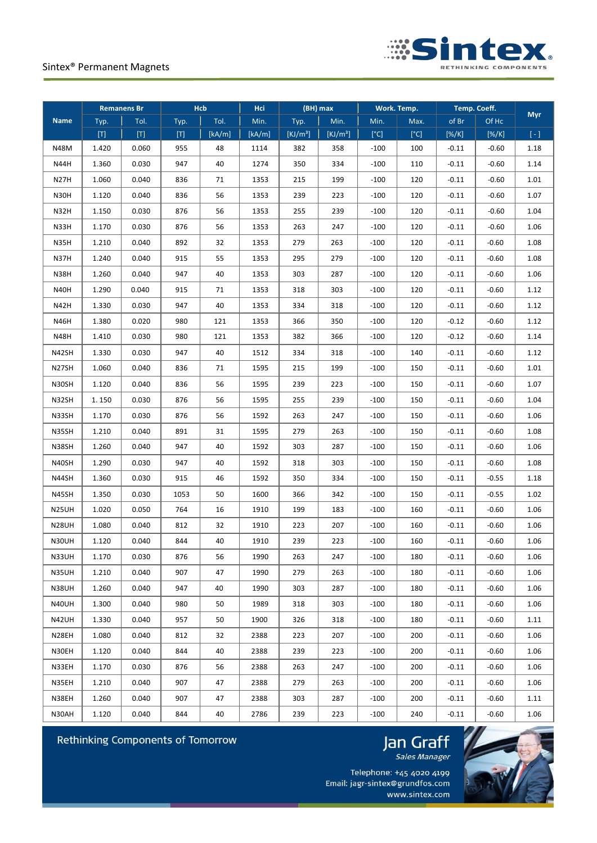

| <b>Remanens Br</b> |                              | <b>Hcb</b>                                                                                                                                                                                                                                               |       | (BH) max<br>Hci |        | Work. Temp.          |                      | Temp. Coeff. |      |                   |          |            |
|--------------------|------------------------------|----------------------------------------------------------------------------------------------------------------------------------------------------------------------------------------------------------------------------------------------------------|-------|-----------------|--------|----------------------|----------------------|--------------|------|-------------------|----------|------------|
| <b>Name</b>        | Typ.                         | Tol.                                                                                                                                                                                                                                                     | Typ.  | Tol.            | Min.   | Typ.                 | Min.                 | Min.         | Max. | of Br             | Of Hc    | <b>Myr</b> |
|                    | $\lbrack \mathsf{T} \rbrack$ | $[T] % \begin{center} % \includegraphics[width=\linewidth]{imagesSupplemental_3.png} % \end{center} % \caption { % Our method is used for the method. % The method is used in the image. % The method is used in the image. % } % \label{fig:example} %$ | $[T]$ | [kA/m]          | [kA/m] | [KJ/m <sup>3</sup> ] | [KJ/m <sup>3</sup> ] | [°C]         | [°C] | $[\%/\mathrm{K}]$ | $[\%/K]$ | $[ - ]$    |
| N48M               | 1.420                        | 0.060                                                                                                                                                                                                                                                    | 955   | 48              | 1114   | 382                  | 358                  | $-100$       | 100  | $-0.11$           | $-0.60$  | 1.18       |
| N44H               | 1.360                        | 0.030                                                                                                                                                                                                                                                    | 947   | 40              | 1274   | 350                  | 334                  | $-100$       | 110  | $-0.11$           | $-0.60$  | 1.14       |
| <b>N27H</b>        | 1.060                        | 0.040                                                                                                                                                                                                                                                    | 836   | 71              | 1353   | 215                  | 199                  | $-100$       | 120  | $-0.11$           | $-0.60$  | 1.01       |
| N30H               | 1.120                        | 0.040                                                                                                                                                                                                                                                    | 836   | 56              | 1353   | 239                  | 223                  | $-100$       | 120  | $-0.11$           | $-0.60$  | 1.07       |
| N32H               | 1.150                        | 0.030                                                                                                                                                                                                                                                    | 876   | 56              | 1353   | 255                  | 239                  | $-100$       | 120  | $-0.11$           | $-0.60$  | 1.04       |
| N33H               | 1.170                        | 0.030                                                                                                                                                                                                                                                    | 876   | 56              | 1353   | 263                  | 247                  | $-100$       | 120  | $-0.11$           | $-0.60$  | 1.06       |
| N35H               | 1.210                        | 0.040                                                                                                                                                                                                                                                    | 892   | 32              | 1353   | 279                  | 263                  | $-100$       | 120  | $-0.11$           | $-0.60$  | 1.08       |
| N37H               | 1.240                        | 0.040                                                                                                                                                                                                                                                    | 915   | 55              | 1353   | 295                  | 279                  | $-100$       | 120  | $-0.11$           | $-0.60$  | 1.08       |
| N38H               | 1.260                        | 0.040                                                                                                                                                                                                                                                    | 947   | 40              | 1353   | 303                  | 287                  | $-100$       | 120  | $-0.11$           | $-0.60$  | 1.06       |
| N40H               | 1.290                        | 0.040                                                                                                                                                                                                                                                    | 915   | 71              | 1353   | 318                  | 303                  | $-100$       | 120  | $-0.11$           | $-0.60$  | 1.12       |
| N42H               | 1.330                        | 0.030                                                                                                                                                                                                                                                    | 947   | 40              | 1353   | 334                  | 318                  | $-100$       | 120  | $-0.11$           | $-0.60$  | 1.12       |
| <b>N46H</b>        | 1.380                        | 0.020                                                                                                                                                                                                                                                    | 980   | 121             | 1353   | 366                  | 350                  | $-100$       | 120  | $-0.12$           | $-0.60$  | 1.12       |
| N48H               | 1.410                        | 0.030                                                                                                                                                                                                                                                    | 980   | 121             | 1353   | 382                  | 366                  | $-100$       | 120  | $-0.12$           | $-0.60$  | 1.14       |
| N42SH              | 1.330                        | 0.030                                                                                                                                                                                                                                                    | 947   | 40              | 1512   | 334                  | 318                  | $-100$       | 140  | $-0.11$           | $-0.60$  | 1.12       |
| N27SH              | 1.060                        | 0.040                                                                                                                                                                                                                                                    | 836   | 71              | 1595   | 215                  | 199                  | $-100$       | 150  | $-0.11$           | $-0.60$  | 1.01       |
| N30SH              | 1.120                        | 0.040                                                                                                                                                                                                                                                    | 836   | 56              | 1595   | 239                  | 223                  | $-100$       | 150  | $-0.11$           | $-0.60$  | 1.07       |
| N32SH              | 1.150                        | 0.030                                                                                                                                                                                                                                                    | 876   | 56              | 1595   | 255                  | 239                  | $-100$       | 150  | $-0.11$           | $-0.60$  | 1.04       |
| N33SH              | 1.170                        | 0.030                                                                                                                                                                                                                                                    | 876   | 56              | 1592   | 263                  | 247                  | $-100$       | 150  | $-0.11$           | $-0.60$  | 1.06       |
| N35SH              | 1.210                        | 0.040                                                                                                                                                                                                                                                    | 891   | 31              | 1595   | 279                  | 263                  | $-100$       | 150  | $-0.11$           | $-0.60$  | 1.08       |
| N38SH              | 1.260                        | 0.040                                                                                                                                                                                                                                                    | 947   | 40              | 1592   | 303                  | 287                  | $-100$       | 150  | $-0.11$           | $-0.60$  | 1.06       |
| N40SH              | 1.290                        | 0.030                                                                                                                                                                                                                                                    | 947   | 40              | 1592   | 318                  | 303                  | $-100$       | 150  | $-0.11$           | $-0.60$  | 1.08       |
| N44SH              | 1.360                        | 0.030                                                                                                                                                                                                                                                    | 915   | 46              | 1592   | 350                  | 334                  | $-100$       | 150  | $-0.11$           | $-0.55$  | 1.18       |
| N45SH              | 1.350                        | 0.030                                                                                                                                                                                                                                                    | 1053  | 50              | 1600   | 366                  | 342                  | $-100$       | 150  | $-0.11$           | $-0.55$  | 1.02       |
| N25UH              | 1.020                        | 0.050                                                                                                                                                                                                                                                    | 764   | 16              | 1910   | 199                  | 183                  | $-100$       | 160  | $-0.11$           | $-0.60$  | 1.06       |
| <b>N28UH</b>       | 1.080                        | 0.040                                                                                                                                                                                                                                                    | 812   | 32              | 1910   | 223                  | 207                  | $-100$       | 160  | $-0.11$           | $-0.60$  | 1.06       |
| N30UH              | 1.120                        | 0.040                                                                                                                                                                                                                                                    | 844   | 40              | 1910   | 239                  | 223                  | $-100$       | 160  | $-0.11$           | $-0.60$  | 1.06       |
| N33UH              | 1.170                        | 0.030                                                                                                                                                                                                                                                    | 876   | 56              | 1990   | 263                  | 247                  | $-100$       | 180  | $-0.11$           | $-0.60$  | 1.06       |
| N35UH              | 1.210                        | 0.040                                                                                                                                                                                                                                                    | 907   | 47              | 1990   | 279                  | 263                  | $-100$       | 180  | $-0.11$           | $-0.60$  | 1.06       |
| N38UH              | 1.260                        | 0.040                                                                                                                                                                                                                                                    | 947   | 40              | 1990   | 303                  | 287                  | $-100$       | 180  | $-0.11$           | $-0.60$  | 1.06       |
| N40UH              | 1.300                        | 0.040                                                                                                                                                                                                                                                    | 980   | 50              | 1989   | 318                  | 303                  | $-100$       | 180  | $-0.11$           | $-0.60$  | 1.06       |
| N42UH              | 1.330                        | 0.040                                                                                                                                                                                                                                                    | 957   | 50              | 1900   | 326                  | 318                  | $-100$       | 180  | $-0.11$           | $-0.60$  | 1.11       |
| N28EH              | 1.080                        | 0.040                                                                                                                                                                                                                                                    | 812   | 32              | 2388   | 223                  | 207                  | $-100$       | 200  | $-0.11$           | $-0.60$  | 1.06       |
| N30EH              | 1.120                        | 0.040                                                                                                                                                                                                                                                    | 844   | 40              | 2388   | 239                  | 223                  | $-100$       | 200  | $-0.11$           | $-0.60$  | 1.06       |
| N33EH              | 1.170                        | 0.030                                                                                                                                                                                                                                                    | 876   | 56              | 2388   | 263                  | 247                  | $-100$       | 200  | $-0.11$           | $-0.60$  | 1.06       |
| N35EH              | 1.210                        | 0.040                                                                                                                                                                                                                                                    | 907   | 47              | 2388   | 279                  | 263                  | $-100$       | 200  | $-0.11$           | $-0.60$  | 1.06       |
| N38EH              | 1.260                        | 0.040                                                                                                                                                                                                                                                    | 907   | 47              | 2388   | 303                  | 287                  | $-100$       | 200  | $-0.11$           | $-0.60$  | 1.11       |
| N30AH              | 1.120                        | 0.040                                                                                                                                                                                                                                                    | 844   | 40              | 2786   | 239                  | 223                  | $-100$       | 240  | $-0.11$           | $-0.60$  | 1.06       |



# Jan Graff



Telephone: +45 4020 4199 Email: jagr-sintex@grundfos.com www.sintex.com